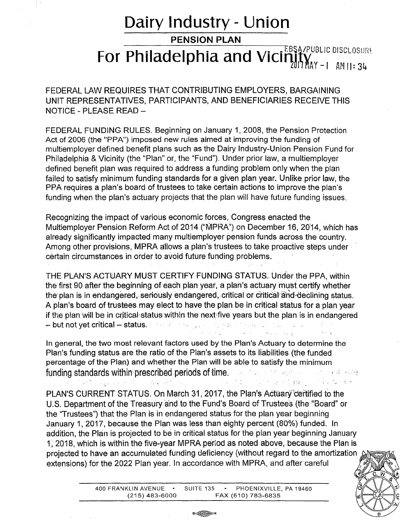## **Dairy Industry - Union**

**PENSION PLAN** 

## For Philadelphia and Vicinity **Matters Algers A.PUBLIC DISCLOSURE**  $\sum_{M=1}^{N}$  -1 AM 11:34

FEDERAL LAW REQUIRES THAT CONTRIBUTING EMPLOYERS, BARGAINING UNIT REPRESENTATIVES, PARTICIPANTS, AND BENEFICIARIES RECEIVE THIS NOTICE - PLEASE READ -

FEDERAL FUNDING RULES. Beginning on January 1, 2008, the Pension Protection Act of 2006 (the "PPA") imposed new rules aimed at improving the funding of multiemployer defined benefit plans such as the Dairy Industry-Union Pension Fund for Philadelphia & Vicinity (the "Plan" or, the "Fund"). Under prior law, a multiemployer defined benefit plan was required to address a funding problem only when the plan failed to satisfy minimum funding standards for a given plan year. Unlike prior law, the PPA requires a plan's board of trustees to take certain actions to improve the plan's funding when the plan's actuary projects that the plan will have future funding issues.

Recognizing the impact of various economic forces, Congress enacted the Multiemployer Pension Reform Act of 2014 ("MPRA") on December 16, 2014, which has already significantly impacted many multiemployer pension funds across the country. Among other provisions, MPRA allows a plan's· trustees to take proactive steps under · certain circumstances in order to avoid future funding problems.

THE PLAN'S ACTUARY MUST CERTIFY FUNDING STATUS. Under the PPA, within the first 90 after the beginning of each plan year, a plan's actuary must certify whether the plan is in endangered, seriously endangered, critical or critical and-declining status. A plan's board of trustees may elect to have the plan be in critical status for a plan year if the plan will be in critical status within the next five years but the plan is in endangered .,... but not yet critical...., status. ·' .

In general, the two most relevant factors used by the Plan's Actuary to determine the Plan's funding status are the ratio of the Plan's assets to its liabilities (the funded percentage of the Plan) and whether the Plan will be able to satisfy the minimum funding standards within prescribed periods of time. The second contract the state of  $\phi$ : 1 . 4 . 52 . 1 . 1 . 4 . 3 . 1 . 1 . 1 . 3 . 3 . 4 . 医胸膜 化离子器 化二硫化二乙酸酯 经会

PLAN'S CURRENT STATUS. On March 31, 2017, the Plan's Actuary certified to the U.S. Department of the Treasury and to the Fund's Board of Trustees (the "Board" or the "Trustees") that the Plan is in endangered status for the plan year beginning January 1, 2017, because the Plan was less than eighty percent (80%) funded. In addition, the Plan is projected to be in critical status for the plan year beginning January 1, 2018, which is within the five-year MPRA period as noted above, because the Plan is projected to have an accumulated funding deficiency (without regard to the amortization extensions) for the 2022 Plan year. In accordance with MPRA, and after careful

400 FRANKLIN AVENUE · SUITE 135 · PHOENIXVILLE, PA 19460 (215) 483-6000 FAX (610) 783-6835

0 全国 14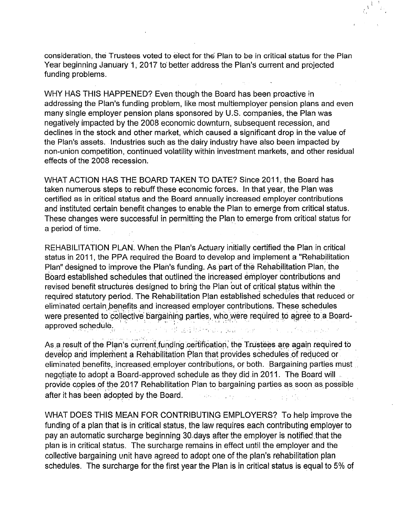consideration, the Trustees voted to elect for the Plan to be in critical status for the Plan Year beginning January 1, 2017 to better address the Plan's current and projected funding problems.

WHY HAS THIS HAPPENED? Even though the Board has been proactive in addressing the Plan's funding problem, like most multiemployer pension plans and even many single employer pension plans sponsored by U.S. companies, the Plan was negatively impacted by the 2008 economic downturn, subsequent recession, and declines in the stock and other market, which caused a significant drop in the value of the Plan's assets. Industries such as the dairy industry have also been impacted by non-union competition, continued volatility within investment markets, and other residual effects of the 2008 recession.

WHAT ACTION HAS THE BOARD TAKEN TO DATE? Since 2011, the Board has taken numerous steps to rebuff these economic forces. In that year, the Plan was certified as in critical status and the Board annually increased employer contributions and instituted certain benefit changes to enable the Plan to emerge from critical status. These changes were successful in permitting the Plan to emerge from critical status for a period of time.

REHABILITATION PLAN. When the Plan's Actuary initially certified the Plan in critical status in 2011, the PPA required the Board to develop and implement a "Rehabilitation Plan" designed to improve the Plan's funding. As part of the Rehabilitation Plan, the Board established schedules that outlined the increased employer contributions and revised benefit structures designed to bring the Plan out of critical status within the required statutory period. The Rehabilitation Plan established schedules that reduced or eliminated certain benefits and increased employer contributions. These schedules were presented to collective bargaining parties, who were required to agree to a Boardapproved schedule. i de la característica.<br>Obras especies de la característica de la característica de la característica de la característica de la carac The Company of the Company of the

As a result of the Plan's current funding certification, the Trustees are again required to develop and implement a Rehabilitation Plan that provides schedules of reduced or eliminated benefits, increased employer contributions, or both. Bargaining parties must negotiate to adopt a Board-approved schedule as they did in 2011. The Board will provide copies of the 2017 Rehabilitation Plan to bargaining parties as soon as possible after it has been adopted by the Board.  $\frac{1}{2} \left( \frac{1}{2} \right)^{2} \left( \frac{1}{2} \right)^{2} \left( \frac{1}{2} \right)^{2} \left( \frac{1}{2} \right)^{2} \left( \frac{1}{2} \right)^{2} \left( \frac{1}{2} \right)^{2}$  $\sqrt{2}$  and  $\sqrt{2}$ 

WHAT DOES THIS MEAN FOR CONTRIBUTING EMPLOYERS? To help improve the funding of a plan that is in critical status, the law requires each contributing employer to pay an automatic surcharge beginning 30 days after the employer is notified that the plan is in critical status. The surcharge remains in effect until the employer and the collective bargaining unit have agreed to adopt one of the plan's rehabilitation plan schedules. The surcharge for the first year the Plan is in critical status is equal to 5% of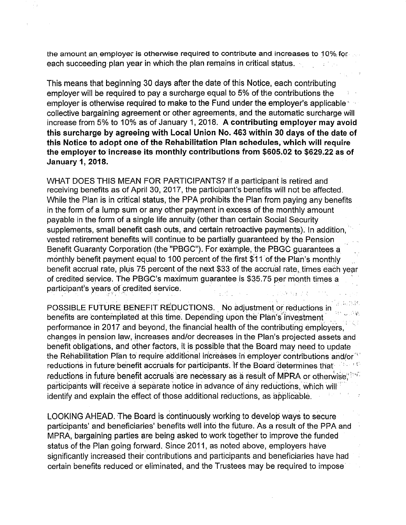the amount an employer is otherwise required to contribute and increases to 10% for each succeeding plan year in which the plan remains in critical status.

This means that beginning 30 days after the date of this Notice, each contributing employer will be required to pay a surcharge equal to 5% of the contributions the employer is otherwise required to make to the Fund under the employer's applicable ' collective bargaining agreement or other agreements, and the automatic surcharge will increase from 5% to 10% as of January 1, 2018. A contributing employer may avoid this surcharge by agreeing with Local Union No. 463 within 30 days of the date of this Notice to adopt one of the Rehabilitation Plan schedules, which will require the employer to increase its monthly contributions from \$605.02 to \$629.22 as of January 1, 2018.

WHAT DOES THIS MEAN FOR PARTICIPANTS? If a participant is retired and receiving benefits as of April 30, 2017, the participant's benefits will not be affected. While the Plan is in critical status, the PPA prohibits the Plan from paying any benefits in the form of a lump sum or any other payment in excess of the monthly amount payable in the form of a single life annuity (other than certain Social Security supplements, small benefit cash outs, and certain retroactive payments). In addition, vested retirement benefits will continue to be partially guaranteed by the Pension Benefit Guaranty Corporation (the "PBGC"). For example, the PBGC guarantees a monthly benefit payment equal to 100 percent of the first \$11 of the Plan's monthly benefit accrual rate, plus 75 percent of the next \$33 of the accrual rate, times each year of credited service. The PBGC's maximum guarantee is \$35.75 per month times a participant's years of credited service. ' I • o' ~ • • *:* • • 'f )

POSSIBLE FUTURE BENEFIT REDUCTIONS. No adjustment or reductions in benefits are contemplated at this time. Depending upon the Plan's investment performance in 2017 and beyond, the financial health of the contributing employers, changes in pension law, increases and/or decreases in the Plan's projected assets and benefit obligations, and other factors, it is possible that the Board may need to update the Rehabilitation Plan to require additional increases in employer contributions and/or<sup>-11</sup> reductions in future benefit accruals for participants. If the Board determines that reductions in future-benefit accruals are necessary as a result of MPRA or otherwise. With participants will receive a separate notice in advance of any reductions, which will identify and explain the effect of those additional reductions, as applicable.

LOOKING AHEAD. The Board is continuously working to develop ways to secure participants' and beneficiaries' benefits well into the future. As a result of the PPA and MPRA, bargaining parties are being asked to work together to improve the funded status of the Plan going forward. Since 2011, as noted above, employers have significantly increased their contributions and participants and beneficiaries have had certain benefits reduced or eliminated, and the Trustees may be required to impose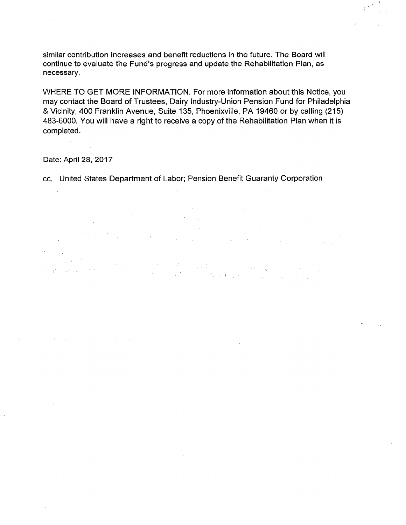similar contribution increases and benefit reductions in the future. The Board will continue to evaluate the Fund's progress and update the Rehabilitation Plan, as necessary.

WHERE TO GET MORE INFORMATION. For more information about this Notice, you may contact the Board of Trustees, Dairy Industry-Union Pension Fund for Philadelphia & Vicinity, 400 Franklin Avenue, Suite 135, Phoenixville, PA 19460 or by calling (215) 483-6000. You will have a right to receive a copy of the Rehabilitation Plan when it is completed.

Date: April 28, 2017

and a strong of the state of the state of the state of the state of the state of the state of the state of the<br>The state of the state of the state of the state of the state of the state of the state of the state of the st

 $\mathcal{L}^{\mathcal{L}}(\mathcal{L}^{\mathcal{L}})$  and  $\mathcal{L}^{\mathcal{L}}(\mathcal{L}^{\mathcal{L}})$  and  $\mathcal{L}^{\mathcal{L}}(\mathcal{L}^{\mathcal{L}})$ 

cc. United States Department of Labor; Pension Benefit Guaranty Corporation

 $\mathcal{L}^{\mathcal{L}}$ **Carlos**  $\sim 100$ 

 $\label{eq:4} \sin\left(\frac{1}{2}\right) \frac{1}{4} \log \left(1-\frac{1}{2}\right) \log \left(1-\frac{1}{2}\right)$ i teratur eta biztanleria.<br>1990an - Antonio Bartham, profesior eta biztanleria (h. 1940). المتحاج والمتواطن والمتعارض والأمراء  $\label{eq:2.1} \frac{1}{2} \sum_{i=1}^N \frac{1}{2} \sum_{j=1}^N \frac{1}{2} \sum_{j=1}^N \frac{1}{2} \sum_{j=1}^N \frac{1}{2} \sum_{j=1}^N \frac{1}{2} \sum_{j=1}^N \frac{1}{2} \sum_{j=1}^N \frac{1}{2} \sum_{j=1}^N \frac{1}{2} \sum_{j=1}^N \frac{1}{2} \sum_{j=1}^N \frac{1}{2} \sum_{j=1}^N \frac{1}{2} \sum_{j=1}^N \frac{1}{2} \sum_{j=1}^N \frac{$